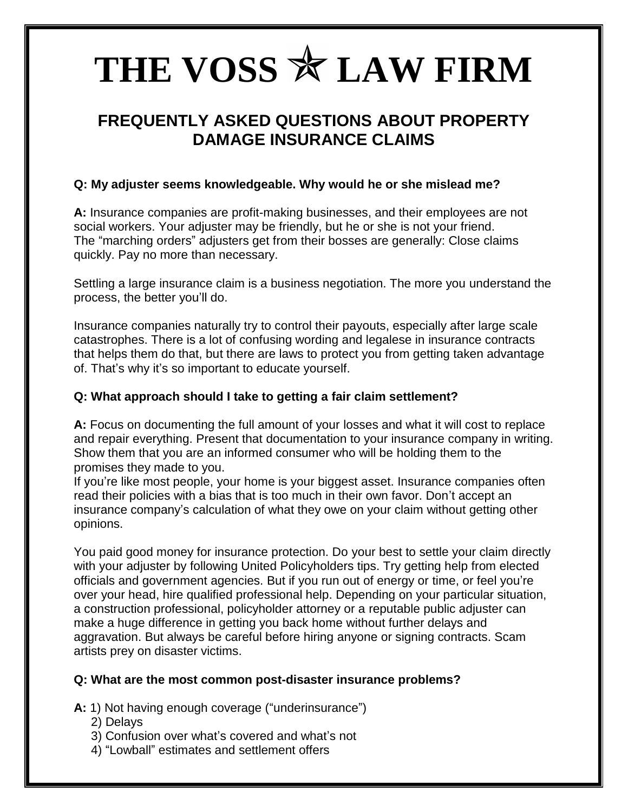# THE VOSS  $*$  LAW FIRM

# **FREQUENTLY ASKED QUESTIONS ABOUT PROPERTY DAMAGE INSURANCE CLAIMS**

# **Q: My adjuster seems knowledgeable. Why would he or she mislead me?**

**A:** Insurance companies are profit-making businesses, and their employees are not social workers. Your adjuster may be friendly, but he or she is not your friend. The "marching orders" adjusters get from their bosses are generally: Close claims quickly. Pay no more than necessary.

Settling a large insurance claim is a business negotiation. The more you understand the process, the better you'll do.

Insurance companies naturally try to control their payouts, especially after large scale catastrophes. There is a lot of confusing wording and legalese in insurance contracts that helps them do that, but there are laws to protect you from getting taken advantage of. That's why it's so important to educate yourself.

# **Q: What approach should I take to getting a fair claim settlement?**

**A:** Focus on documenting the full amount of your losses and what it will cost to replace and repair everything. Present that documentation to your insurance company in writing. Show them that you are an informed consumer who will be holding them to the promises they made to you.

If you're like most people, your home is your biggest asset. Insurance companies often read their policies with a bias that is too much in their own favor. Don't accept an insurance company's calculation of what they owe on your claim without getting other opinions.

You paid good money for insurance protection. Do your best to settle your claim directly with your adjuster by following United Policyholders tips. Try getting help from elected officials and government agencies. But if you run out of energy or time, or feel you're over your head, hire qualified professional help. Depending on your particular situation, a construction professional, policyholder attorney or a reputable public adjuster can make a huge difference in getting you back home without further delays and aggravation. But always be careful before hiring anyone or signing contracts. Scam artists prey on disaster victims.

## **Q: What are the most common post-disaster insurance problems?**

A: 1) Not having enough coverage ("underinsurance")

- 2) Delays
- 3) Confusion over what's covered and what's not
- 4) "Lowball" estimates and settlement offers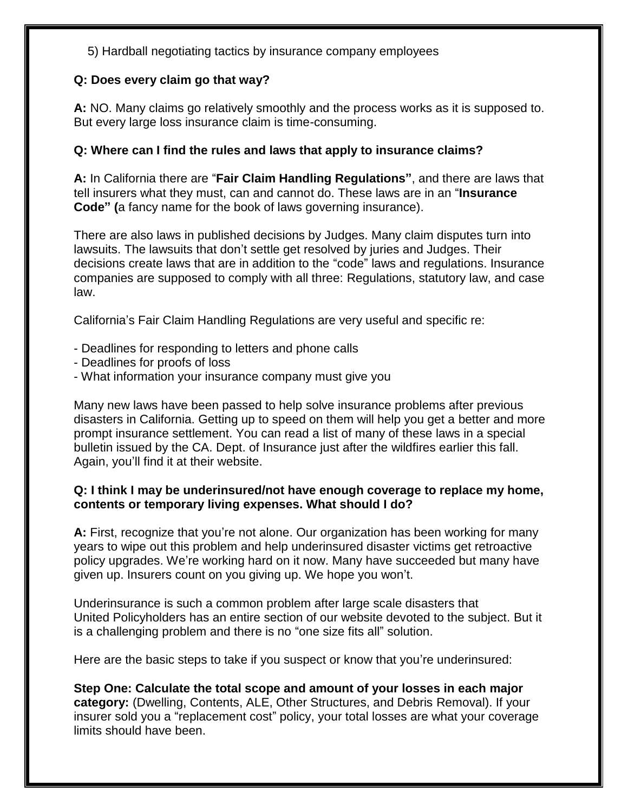5) Hardball negotiating tactics by insurance company employees

## **Q: Does every claim go that way?**

**A:** NO. Many claims go relatively smoothly and the process works as it is supposed to. But every large loss insurance claim is time-consuming.

# **Q: Where can I find the rules and laws that apply to insurance claims?**

A: In California there are "**Fair Claim Handling Regulations**", and there are laws that tell insurers what they must, can and cannot do. These laws are in an "**Insurance Code" (**a fancy name for the book of laws governing insurance).

There are also laws in published decisions by Judges. Many claim disputes turn into lawsuits. The lawsuits that don't settle get resolved by juries and Judges. Their decisions create laws that are in addition to the "code" laws and regulations. Insurance companies are supposed to comply with all three: Regulations, statutory law, and case law.

California's Fair Claim Handling Regulations are very useful and specific re:

- Deadlines for responding to letters and phone calls
- Deadlines for proofs of loss
- What information your insurance company must give you

Many new laws have been passed to help solve insurance problems after previous disasters in California. Getting up to speed on them will help you get a better and more prompt insurance settlement. You can read a list of many of these laws in a special bulletin issued by the CA. Dept. of Insurance just after the wildfires earlier this fall. Again, you'll find it at their website.

## **Q: I think I may be underinsured/not have enough coverage to replace my home, contents or temporary living expenses. What should I do?**

**A:** First, recognize that you're not alone. Our organization has been working for many years to wipe out this problem and help underinsured disaster victims get retroactive policy upgrades. We're working hard on it now. Many have succeeded but many have given up. Insurers count on you giving up. We hope you won't.

Underinsurance is such a common problem after large scale disasters that United Policyholders has an entire section of our website devoted to the subject. But it is a challenging problem and there is no "one size fits all" solution.

Here are the basic steps to take if you suspect or know that you're underinsured:

**Step One: Calculate the total scope and amount of your losses in each major category:** (Dwelling, Contents, ALE, Other Structures, and Debris Removal). If your insurer sold you a "replacement cost" policy, your total losses are what your coverage limits should have been.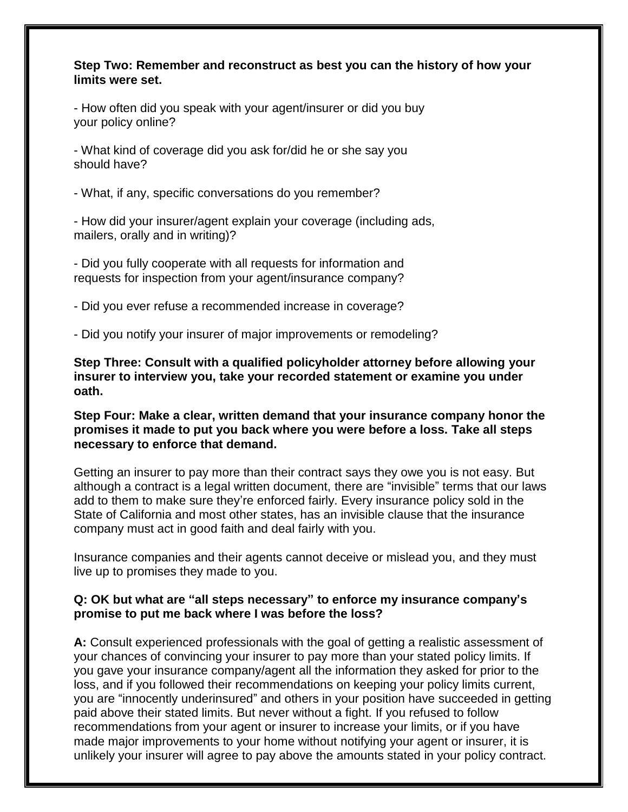#### **Step Two: Remember and reconstruct as best you can the history of how your limits were set.**

- How often did you speak with your agent/insurer or did you buy your policy online?

- What kind of coverage did you ask for/did he or she say you should have?

- What, if any, specific conversations do you remember?

- How did your insurer/agent explain your coverage (including ads, mailers, orally and in writing)?

- Did you fully cooperate with all requests for information and requests for inspection from your agent/insurance company?

- Did you ever refuse a recommended increase in coverage?

- Did you notify your insurer of major improvements or remodeling?

**Step Three: Consult with a qualified policyholder attorney before allowing your insurer to interview you, take your recorded statement or examine you under oath.** 

#### **Step Four: Make a clear, written demand that your insurance company honor the promises it made to put you back where you were before a loss. Take all steps necessary to enforce that demand.**

Getting an insurer to pay more than their contract says they owe you is not easy. But although a contract is a legal written document, there are "invisible" terms that our laws add to them to make sure they're enforced fairly. Every insurance policy sold in the State of California and most other states, has an invisible clause that the insurance company must act in good faith and deal fairly with you.

Insurance companies and their agents cannot deceive or mislead you, and they must live up to promises they made to you.

## **Q: OK but what are "all steps necessary" to enforce my insurance company's promise to put me back where I was before the loss?**

**A:** Consult experienced professionals with the goal of getting a realistic assessment of your chances of convincing your insurer to pay more than your stated policy limits. If you gave your insurance company/agent all the information they asked for prior to the loss, and if you followed their recommendations on keeping your policy limits current, you are "innocently underinsured" and others in your position have succeeded in getting paid above their stated limits. But never without a fight. If you refused to follow recommendations from your agent or insurer to increase your limits, or if you have made major improvements to your home without notifying your agent or insurer, it is unlikely your insurer will agree to pay above the amounts stated in your policy contract.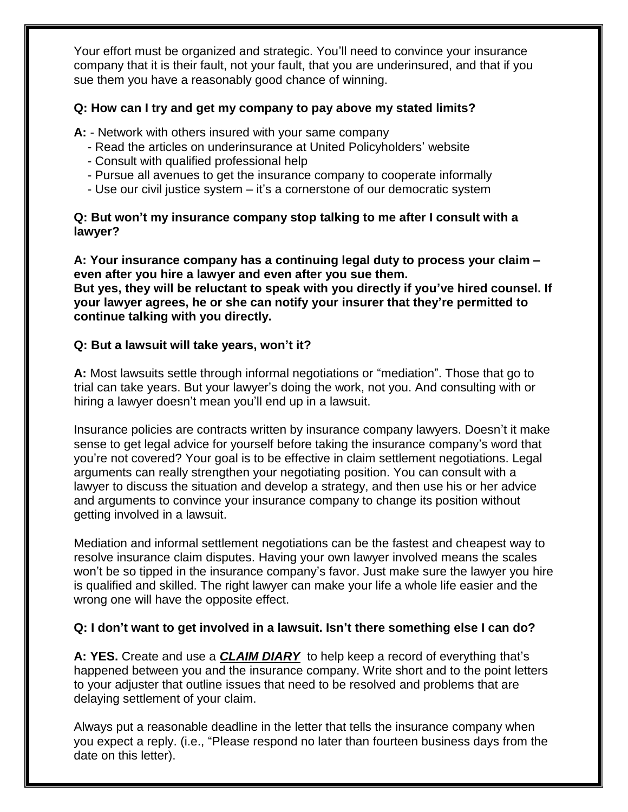Your effort must be organized and strategic. You'll need to convince your insurance company that it is their fault, not your fault, that you are underinsured, and that if you sue them you have a reasonably good chance of winning.

## **Q: How can I try and get my company to pay above my stated limits?**

**A:** - Network with others insured with your same company

- Read the articles on underinsurance at United Policyholders' website
- Consult with qualified professional help
- Pursue all avenues to get the insurance company to cooperate informally
- Use our civil justice system it's a cornerstone of our democratic system

# **Q: But won't my insurance company stop talking to me after I consult with a lawyer?**

**A: Your insurance company has a continuing legal duty to process your claim – even after you hire a lawyer and even after you sue them. But yes, they will be reluctant to speak with you directly if you've hired counsel. If your lawyer agrees, he or she can notify your insurer that they're permitted to continue talking with you directly.**

# **Q: But a lawsuit will take years, won't it?**

**A:** Most lawsuits settle through informal negotiations or "mediation". Those that go to trial can take years. But your lawyer's doing the work, not you. And consulting with or hiring a lawyer doesn't mean you'll end up in a lawsuit.

Insurance policies are contracts written by insurance company lawyers. Doesn't it make sense to get legal advice for yourself before taking the insurance company's word that you're not covered? Your goal is to be effective in claim settlement negotiations. Legal arguments can really strengthen your negotiating position. You can consult with a lawyer to discuss the situation and develop a strategy, and then use his or her advice and arguments to convince your insurance company to change its position without getting involved in a lawsuit.

Mediation and informal settlement negotiations can be the fastest and cheapest way to resolve insurance claim disputes. Having your own lawyer involved means the scales won't be so tipped in the insurance company's favor. Just make sure the lawyer you hire is qualified and skilled. The right lawyer can make your life a whole life easier and the wrong one will have the opposite effect.

# **Q: I don't want to get involved in a lawsuit. Isn't there something else I can do?**

**A: YES.** Create and use a *CLAIM DIARY* to help keep a record of everything that's happened between you and the insurance company. Write short and to the point letters to your adjuster that outline issues that need to be resolved and problems that are delaying settlement of your claim.

Always put a reasonable deadline in the letter that tells the insurance company when you expect a reply. (i.e., "Please respond no later than fourteen business days from the date on this letter).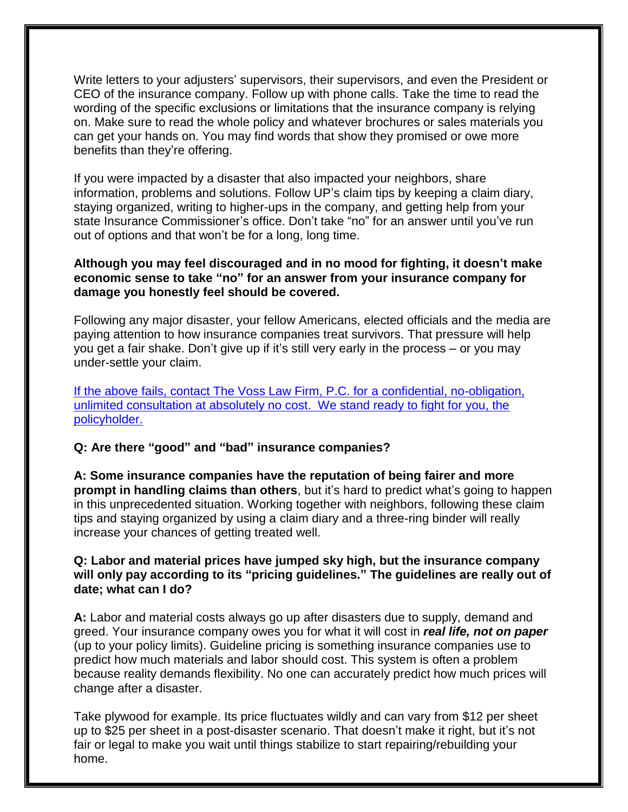Write letters to your adjusters' supervisors, their supervisors, and even the President or CEO of the insurance company. Follow up with phone calls. Take the time to read the wording of the specific exclusions or limitations that the insurance company is relying on. Make sure to read the whole policy and whatever brochures or sales materials you can get your hands on. You may find words that show they promised or owe more benefits than they're offering.

If you were impacted by a disaster that also impacted your neighbors, share information, problems and solutions. Follow UP's claim tips by keeping a claim diary, staying organized, writing to higher-ups in the company, and getting help from your state Insurance Commissioner's office. Don't take "no" for an answer until you've run out of options and that won't be for a long, long time.

# **Although you may feel discouraged and in no mood for fighting, it doesn't make economic sense to take "no" for an answer from your insurance company for damage you honestly feel should be covered.**

Following any major disaster, your fellow Americans, elected officials and the media are paying attention to how insurance companies treat survivors. That pressure will help you get a fair shake. Don't give up if it's still very early in the process – or you may under-settle your claim.

[If the above fails, contact The Voss Law Firm, P.C. for](http://www.deniedclaim.com/contact.cfm) a confidential, no-obligation, [unlimited consultation at absolutely no cost. We stand ready to fight for you, the](http://www.deniedclaim.com/contact.cfm)  [policyholder.](http://www.deniedclaim.com/contact.cfm)

# **Q: Are there "good" and "bad" insurance companies?**

**A: Some insurance companies have the reputation of being fairer and more prompt in handling claims than others**, but it's hard to predict what's going to happen in this unprecedented situation. Working together with neighbors, following these claim tips and staying organized by using a claim diary and a three-ring binder will really increase your chances of getting treated well.

# **Q: Labor and material prices have jumped sky high, but the insurance company will only pay according to its "pricing guidelines." The guidelines are really out of date; what can I do?**

**A:** Labor and material costs always go up after disasters due to supply, demand and greed. Your insurance company owes you for what it will cost in *real life, not on paper*  (up to your policy limits). Guideline pricing is something insurance companies use to predict how much materials and labor should cost. This system is often a problem because reality demands flexibility. No one can accurately predict how much prices will change after a disaster.

Take plywood for example. Its price fluctuates wildly and can vary from \$12 per sheet up to \$25 per sheet in a post-disaster scenario. That doesn't make it right, but it's not fair or legal to make you wait until things stabilize to start repairing/rebuilding your home.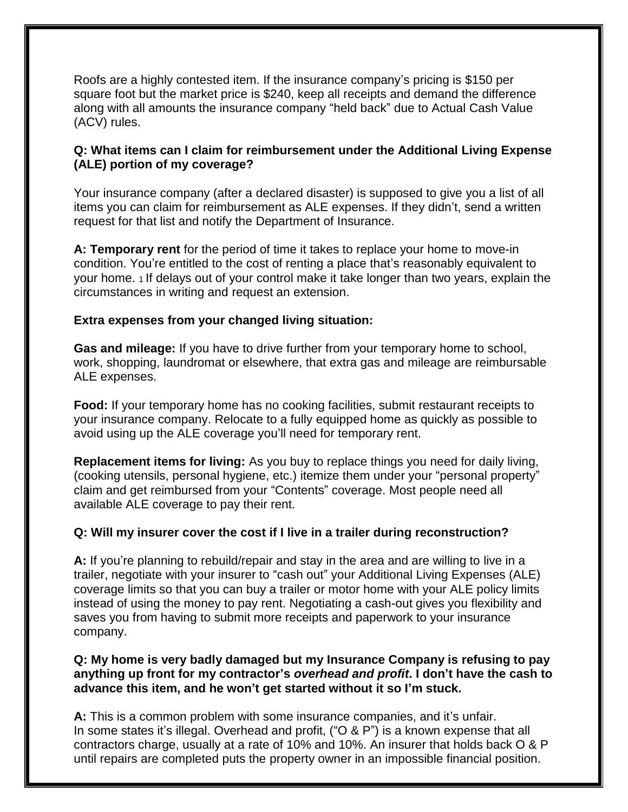Roofs are a highly contested item. If the insurance company's pricing is \$150 per square foot but the market price is \$240, keep all receipts and demand the difference along with all amounts the insurance company "held back" due to Actual Cash Value (ACV) rules.

# **Q: What items can I claim for reimbursement under the Additional Living Expense (ALE) portion of my coverage?**

Your insurance company (after a declared disaster) is supposed to give you a list of all items you can claim for reimbursement as ALE expenses. If they didn't, send a written request for that list and notify the Department of Insurance.

**A: Temporary rent** for the period of time it takes to replace your home to move-in condition. You're entitled to the cost of renting a place that's reasonably equivalent to your home. 1 If delays out of your control make it take longer than two years, explain the circumstances in writing and request an extension.

## **Extra expenses from your changed living situation:**

**Gas and mileage:** If you have to drive further from your temporary home to school, work, shopping, laundromat or elsewhere, that extra gas and mileage are reimbursable ALE expenses.

**Food:** If your temporary home has no cooking facilities, submit restaurant receipts to your insurance company. Relocate to a fully equipped home as quickly as possible to avoid using up the ALE coverage you'll need for temporary rent.

**Replacement items for living:** As you buy to replace things you need for daily living, (cooking utensils, personal hygiene, etc.) itemize them under your "personal property" claim and get reimbursed from your "Contents" coverage. Most people need all available ALE coverage to pay their rent.

# **Q: Will my insurer cover the cost if I live in a trailer during reconstruction?**

**A:** If you're planning to rebuild/repair and stay in the area and are willing to live in a trailer, negotiate with your insurer to "cash out" your Additional Living Expenses (ALE) coverage limits so that you can buy a trailer or motor home with your ALE policy limits instead of using the money to pay rent. Negotiating a cash-out gives you flexibility and saves you from having to submit more receipts and paperwork to your insurance company.

#### **Q: My home is very badly damaged but my Insurance Company is refusing to pay anything up front for my contractor's** *overhead and profit***. I don't have the cash to advance this item, and he won't get started without it so I'm stuck.**

**A:** This is a common problem with some insurance companies, and it's unfair. In some states it's illegal. Overhead and profit, ("O & P") is a known expense that all contractors charge, usually at a rate of 10% and 10%. An insurer that holds back O & P until repairs are completed puts the property owner in an impossible financial position.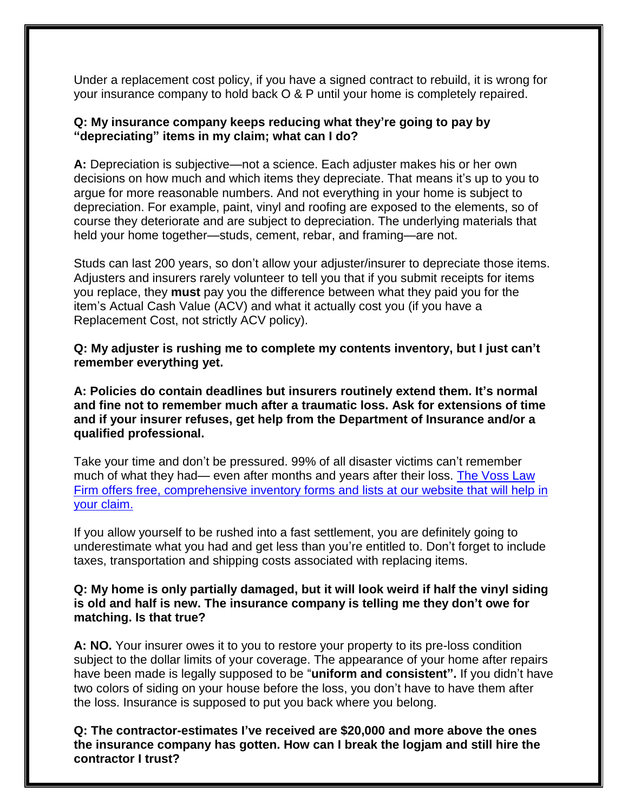Under a replacement cost policy, if you have a signed contract to rebuild, it is wrong for your insurance company to hold back O & P until your home is completely repaired.

# **Q: My insurance company keeps reducing what they're going to pay by "depreciating" items in my claim; what can I do?**

**A:** Depreciation is subjective—not a science. Each adjuster makes his or her own decisions on how much and which items they depreciate. That means it's up to you to argue for more reasonable numbers. And not everything in your home is subject to depreciation. For example, paint, vinyl and roofing are exposed to the elements, so of course they deteriorate and are subject to depreciation. The underlying materials that held your home together—studs, cement, rebar, and framing—are not.

Studs can last 200 years, so don't allow your adjuster/insurer to depreciate those items. Adjusters and insurers rarely volunteer to tell you that if you submit receipts for items you replace, they **must** pay you the difference between what they paid you for the item's Actual Cash Value (ACV) and what it actually cost you (if you have a Replacement Cost, not strictly ACV policy).

**Q: My adjuster is rushing me to complete my contents inventory, but I just can't remember everything yet.**

**A: Policies do contain deadlines but insurers routinely extend them. It's normal and fine not to remember much after a traumatic loss. Ask for extensions of time and if your insurer refuses, get help from the Department of Insurance and/or a qualified professional.**

Take your time and don't be pressured. 99% of all disaster victims can't remember much of what they had— even after months and years after their loss. [The Voss Law](http://www.deniedclaim.com/reports/disputes-with-your-insurance-company-what-all-consumers-need-to-know.cfm)  Firm [offers free, comprehensive inventory forms and lists at our website that will help in](http://www.deniedclaim.com/reports/disputes-with-your-insurance-company-what-all-consumers-need-to-know.cfm)  [your claim.](http://www.deniedclaim.com/reports/disputes-with-your-insurance-company-what-all-consumers-need-to-know.cfm)

If you allow yourself to be rushed into a fast settlement, you are definitely going to underestimate what you had and get less than you're entitled to. Don't forget to include taxes, transportation and shipping costs associated with replacing items.

#### **Q: My home is only partially damaged, but it will look weird if half the vinyl siding is old and half is new. The insurance company is telling me they don't owe for matching. Is that true?**

**A: NO.** Your insurer owes it to you to restore your property to its pre-loss condition subject to the dollar limits of your coverage. The appearance of your home after repairs have been made is legally supposed to be "**uniform and consistent".** If you didn't have two colors of siding on your house before the loss, you don't have to have them after the loss. Insurance is supposed to put you back where you belong.

**Q: The contractor-estimates I've received are \$20,000 and more above the ones the insurance company has gotten. How can I break the logjam and still hire the contractor I trust?**